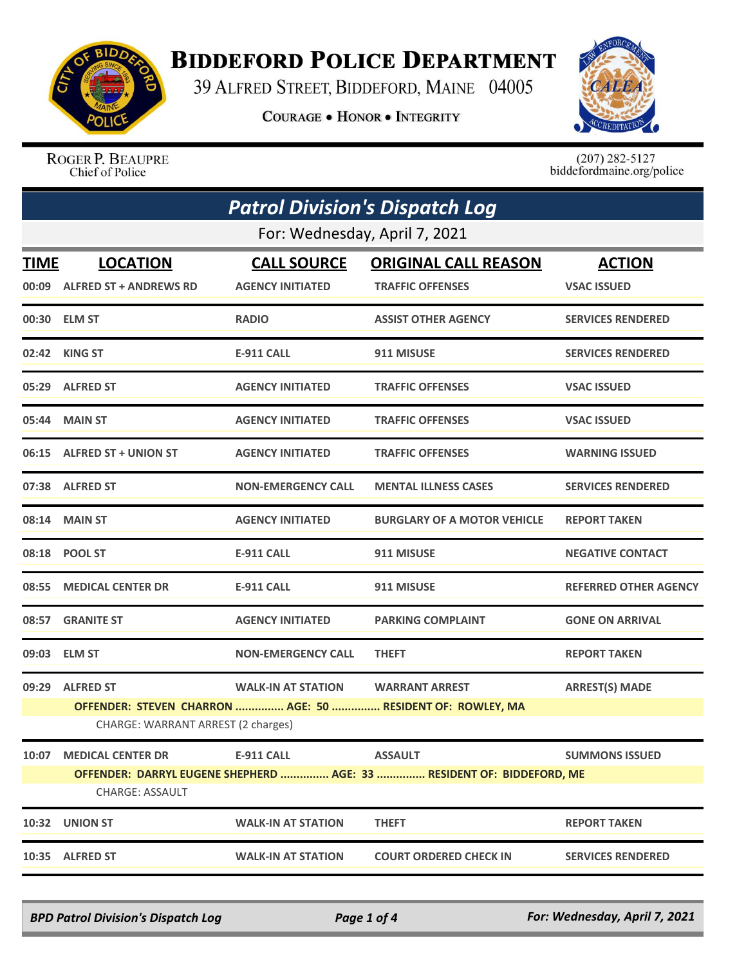

## **BIDDEFORD POLICE DEPARTMENT**

39 ALFRED STREET, BIDDEFORD, MAINE 04005

**COURAGE . HONOR . INTEGRITY** 



ROGER P. BEAUPRE Chief of Police

 $(207)$  282-5127<br>biddefordmaine.org/police

| <b>Patrol Division's Dispatch Log</b> |                                                                                                  |                                               |                                                                       |                                     |  |  |
|---------------------------------------|--------------------------------------------------------------------------------------------------|-----------------------------------------------|-----------------------------------------------------------------------|-------------------------------------|--|--|
|                                       | For: Wednesday, April 7, 2021                                                                    |                                               |                                                                       |                                     |  |  |
| <b>TIME</b>                           | <b>LOCATION</b><br>00:09 ALFRED ST + ANDREWS RD                                                  | <b>CALL SOURCE</b><br><b>AGENCY INITIATED</b> | <b>ORIGINAL CALL REASON</b><br><b>TRAFFIC OFFENSES</b>                | <b>ACTION</b><br><b>VSAC ISSUED</b> |  |  |
|                                       | 00:30 ELM ST                                                                                     | <b>RADIO</b>                                  | <b>ASSIST OTHER AGENCY</b>                                            | <b>SERVICES RENDERED</b>            |  |  |
|                                       | 02:42 KING ST                                                                                    | <b>E-911 CALL</b>                             | 911 MISUSE                                                            | <b>SERVICES RENDERED</b>            |  |  |
|                                       | 05:29 ALFRED ST                                                                                  | <b>AGENCY INITIATED</b>                       | <b>TRAFFIC OFFENSES</b>                                               | <b>VSAC ISSUED</b>                  |  |  |
|                                       | 05:44 MAIN ST                                                                                    | <b>AGENCY INITIATED</b>                       | <b>TRAFFIC OFFENSES</b>                                               | <b>VSAC ISSUED</b>                  |  |  |
|                                       | 06:15 ALFRED ST + UNION ST                                                                       | <b>AGENCY INITIATED</b>                       | <b>TRAFFIC OFFENSES</b>                                               | <b>WARNING ISSUED</b>               |  |  |
|                                       | 07:38 ALFRED ST                                                                                  | <b>NON-EMERGENCY CALL</b>                     | <b>MENTAL ILLNESS CASES</b>                                           | <b>SERVICES RENDERED</b>            |  |  |
|                                       | 08:14 MAIN ST                                                                                    | <b>AGENCY INITIATED</b>                       | <b>BURGLARY OF A MOTOR VEHICLE</b>                                    | <b>REPORT TAKEN</b>                 |  |  |
|                                       | 08:18 POOL ST                                                                                    | <b>E-911 CALL</b>                             | 911 MISUSE                                                            | <b>NEGATIVE CONTACT</b>             |  |  |
| 08:55                                 | <b>MEDICAL CENTER DR</b>                                                                         | <b>E-911 CALL</b>                             | 911 MISUSE                                                            | <b>REFERRED OTHER AGENCY</b>        |  |  |
|                                       | 08:57 GRANITE ST                                                                                 | <b>AGENCY INITIATED</b>                       | <b>PARKING COMPLAINT</b>                                              | <b>GONE ON ARRIVAL</b>              |  |  |
|                                       | 09:03 ELM ST                                                                                     | <b>NON-EMERGENCY CALL</b>                     | <b>THEFT</b>                                                          | <b>REPORT TAKEN</b>                 |  |  |
|                                       | 09:29 ALFRED ST                                                                                  | <b>WALK-IN AT STATION</b>                     | <b>WARRANT ARREST</b>                                                 | <b>ARREST(S) MADE</b>               |  |  |
|                                       | OFFENDER: STEVEN CHARRON  AGE: 50  RESIDENT OF: ROWLEY, MA<br>CHARGE: WARRANT ARREST (2 charges) |                                               |                                                                       |                                     |  |  |
| 10:07                                 | <b>MEDICAL CENTER DR</b>                                                                         | E-911 CALL                                    | <b>ASSAULT</b>                                                        | <b>SUMMONS ISSUED</b>               |  |  |
|                                       | <b>CHARGE: ASSAULT</b>                                                                           |                                               | OFFENDER: DARRYL EUGENE SHEPHERD  AGE: 33  RESIDENT OF: BIDDEFORD, ME |                                     |  |  |
| 10:32                                 | <b>UNION ST</b>                                                                                  | <b>WALK-IN AT STATION</b>                     | <b>THEFT</b>                                                          | <b>REPORT TAKEN</b>                 |  |  |
|                                       | 10:35 ALFRED ST                                                                                  | <b>WALK-IN AT STATION</b>                     | <b>COURT ORDERED CHECK IN</b>                                         | <b>SERVICES RENDERED</b>            |  |  |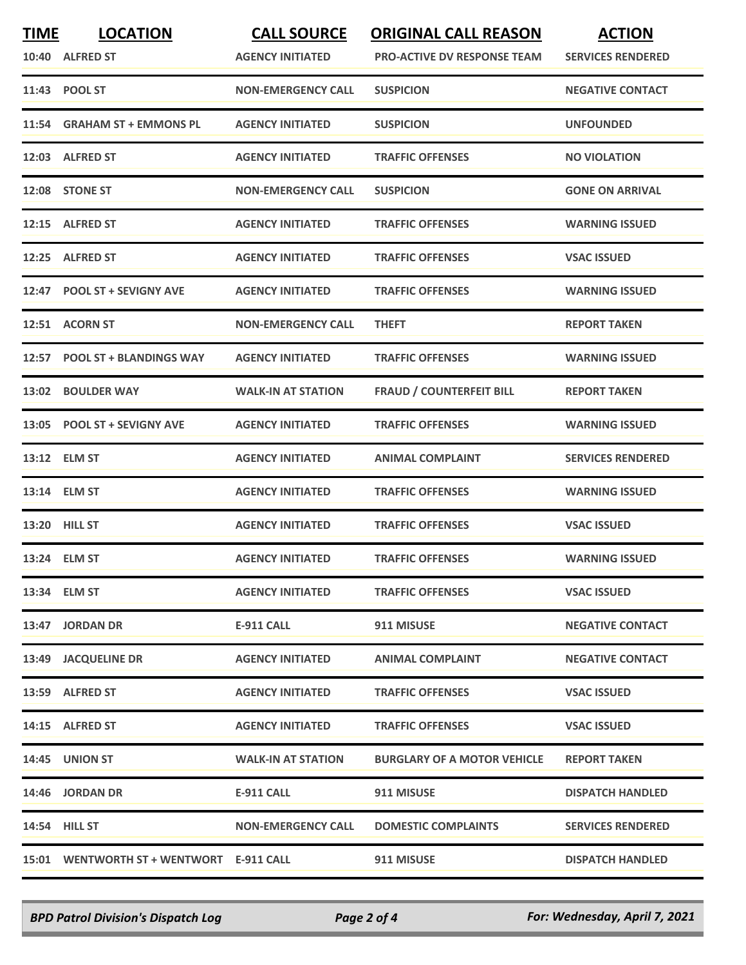| <b>TIME</b> | <b>LOCATION</b>                          | <b>CALL SOURCE</b>        | <b>ORIGINAL CALL REASON</b>        | <b>ACTION</b>            |
|-------------|------------------------------------------|---------------------------|------------------------------------|--------------------------|
|             | 10:40 ALFRED ST                          | <b>AGENCY INITIATED</b>   | <b>PRO-ACTIVE DV RESPONSE TEAM</b> | <b>SERVICES RENDERED</b> |
|             | 11:43 POOL ST                            | <b>NON-EMERGENCY CALL</b> | <b>SUSPICION</b>                   | <b>NEGATIVE CONTACT</b>  |
|             | 11:54 GRAHAM ST + EMMONS PL              | <b>AGENCY INITIATED</b>   | <b>SUSPICION</b>                   | <b>UNFOUNDED</b>         |
|             | 12:03 ALFRED ST                          | <b>AGENCY INITIATED</b>   | <b>TRAFFIC OFFENSES</b>            | <b>NO VIOLATION</b>      |
|             | 12:08 STONE ST                           | <b>NON-EMERGENCY CALL</b> | <b>SUSPICION</b>                   | <b>GONE ON ARRIVAL</b>   |
|             | 12:15 ALFRED ST                          | <b>AGENCY INITIATED</b>   | <b>TRAFFIC OFFENSES</b>            | <b>WARNING ISSUED</b>    |
|             | 12:25 ALFRED ST                          | <b>AGENCY INITIATED</b>   | <b>TRAFFIC OFFENSES</b>            | <b>VSAC ISSUED</b>       |
|             | 12:47 POOL ST + SEVIGNY AVE              | <b>AGENCY INITIATED</b>   | <b>TRAFFIC OFFENSES</b>            | <b>WARNING ISSUED</b>    |
|             | 12:51 ACORN ST                           | <b>NON-EMERGENCY CALL</b> | <b>THEFT</b>                       | <b>REPORT TAKEN</b>      |
|             | 12:57 POOL ST + BLANDINGS WAY            | <b>AGENCY INITIATED</b>   | <b>TRAFFIC OFFENSES</b>            | <b>WARNING ISSUED</b>    |
|             | 13:02 BOULDER WAY                        | <b>WALK-IN AT STATION</b> | <b>FRAUD / COUNTERFEIT BILL</b>    | <b>REPORT TAKEN</b>      |
|             | 13:05 POOL ST + SEVIGNY AVE              | <b>AGENCY INITIATED</b>   | <b>TRAFFIC OFFENSES</b>            | <b>WARNING ISSUED</b>    |
|             | 13:12 ELM ST                             | <b>AGENCY INITIATED</b>   | <b>ANIMAL COMPLAINT</b>            | <b>SERVICES RENDERED</b> |
|             | 13:14 ELM ST                             | <b>AGENCY INITIATED</b>   | <b>TRAFFIC OFFENSES</b>            | <b>WARNING ISSUED</b>    |
|             | <b>13:20 HILL ST</b>                     | <b>AGENCY INITIATED</b>   | <b>TRAFFIC OFFENSES</b>            | <b>VSAC ISSUED</b>       |
|             | 13:24 ELM ST                             | <b>AGENCY INITIATED</b>   | <b>TRAFFIC OFFENSES</b>            | <b>WARNING ISSUED</b>    |
|             | 13:34 ELM ST                             | <b>AGENCY INITIATED</b>   | <b>TRAFFIC OFFENSES</b>            | <b>VSAC ISSUED</b>       |
|             | 13:47 JORDAN DR                          | E-911 CALL                | 911 MISUSE                         | <b>NEGATIVE CONTACT</b>  |
|             | 13:49 JACQUELINE DR                      | <b>AGENCY INITIATED</b>   | <b>ANIMAL COMPLAINT</b>            | <b>NEGATIVE CONTACT</b>  |
|             | 13:59 ALFRED ST                          | <b>AGENCY INITIATED</b>   | <b>TRAFFIC OFFENSES</b>            | <b>VSAC ISSUED</b>       |
|             | 14:15 ALFRED ST                          | <b>AGENCY INITIATED</b>   | <b>TRAFFIC OFFENSES</b>            | <b>VSAC ISSUED</b>       |
|             | <b>14:45 UNION ST</b>                    | <b>WALK-IN AT STATION</b> | <b>BURGLARY OF A MOTOR VEHICLE</b> | <b>REPORT TAKEN</b>      |
|             | 14:46 JORDAN DR                          | E-911 CALL                | 911 MISUSE                         | <b>DISPATCH HANDLED</b>  |
|             | <b>14:54 HILL ST</b>                     | <b>NON-EMERGENCY CALL</b> | <b>DOMESTIC COMPLAINTS</b>         | <b>SERVICES RENDERED</b> |
|             | 15:01 WENTWORTH ST + WENTWORT E-911 CALL |                           | 911 MISUSE                         | <b>DISPATCH HANDLED</b>  |

*BPD Patrol Division's Dispatch Log Page 2 of 4 For: Wednesday, April 7, 2021*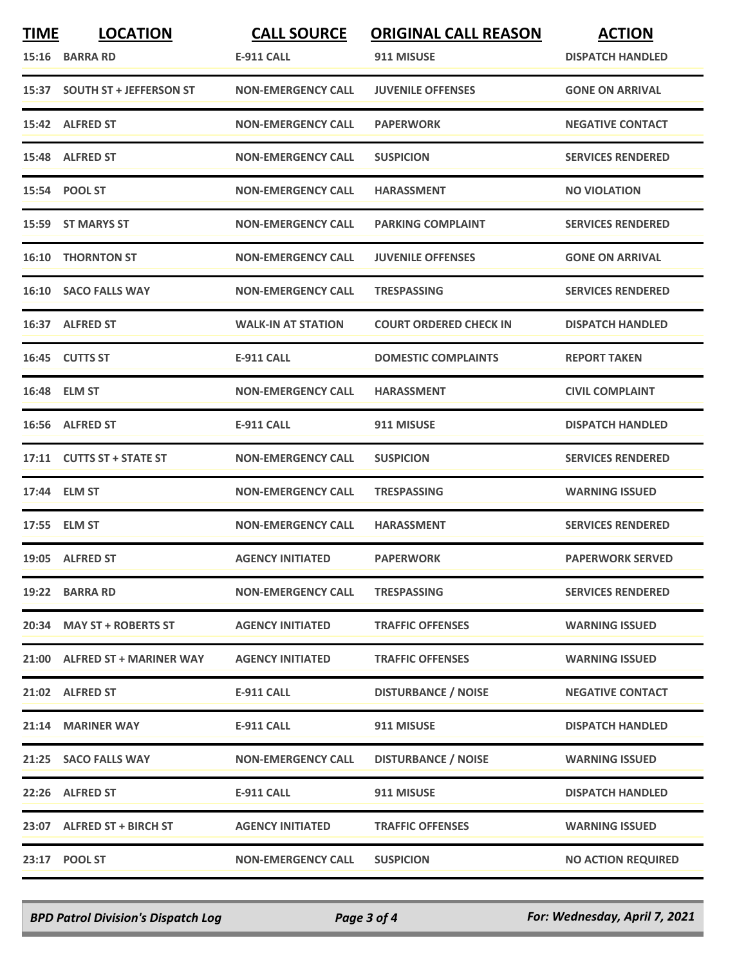| <b>TIME</b> | <b>LOCATION</b><br>15:16 BARRA RD | <b>CALL SOURCE</b><br>E-911 CALL | <b>ORIGINAL CALL REASON</b><br>911 MISUSE | <b>ACTION</b><br><b>DISPATCH HANDLED</b> |
|-------------|-----------------------------------|----------------------------------|-------------------------------------------|------------------------------------------|
|             | 15:37 SOUTH ST + JEFFERSON ST     | <b>NON-EMERGENCY CALL</b>        | <b>JUVENILE OFFENSES</b>                  | <b>GONE ON ARRIVAL</b>                   |
|             | 15:42 ALFRED ST                   | <b>NON-EMERGENCY CALL</b>        | <b>PAPERWORK</b>                          | <b>NEGATIVE CONTACT</b>                  |
|             | 15:48 ALFRED ST                   | <b>NON-EMERGENCY CALL</b>        | <b>SUSPICION</b>                          | <b>SERVICES RENDERED</b>                 |
|             | 15:54 POOL ST                     | <b>NON-EMERGENCY CALL</b>        | <b>HARASSMENT</b>                         | <b>NO VIOLATION</b>                      |
|             | 15:59 ST MARYS ST                 | <b>NON-EMERGENCY CALL</b>        | <b>PARKING COMPLAINT</b>                  | <b>SERVICES RENDERED</b>                 |
|             | <b>16:10 THORNTON ST</b>          | <b>NON-EMERGENCY CALL</b>        | <b>JUVENILE OFFENSES</b>                  | <b>GONE ON ARRIVAL</b>                   |
|             | 16:10 SACO FALLS WAY              | <b>NON-EMERGENCY CALL</b>        | <b>TRESPASSING</b>                        | <b>SERVICES RENDERED</b>                 |
|             | 16:37 ALFRED ST                   | <b>WALK-IN AT STATION</b>        | <b>COURT ORDERED CHECK IN</b>             | <b>DISPATCH HANDLED</b>                  |
|             | 16:45 CUTTS ST                    | E-911 CALL                       | <b>DOMESTIC COMPLAINTS</b>                | <b>REPORT TAKEN</b>                      |
|             | 16:48 ELM ST                      | <b>NON-EMERGENCY CALL</b>        | <b>HARASSMENT</b>                         | <b>CIVIL COMPLAINT</b>                   |
|             | 16:56 ALFRED ST                   | <b>E-911 CALL</b>                | 911 MISUSE                                | <b>DISPATCH HANDLED</b>                  |
|             | 17:11 CUTTS ST + STATE ST         | <b>NON-EMERGENCY CALL</b>        | <b>SUSPICION</b>                          | <b>SERVICES RENDERED</b>                 |
|             | 17:44 ELM ST                      | <b>NON-EMERGENCY CALL</b>        | <b>TRESPASSING</b>                        | <b>WARNING ISSUED</b>                    |
|             | 17:55 ELM ST                      | <b>NON-EMERGENCY CALL</b>        | <b>HARASSMENT</b>                         | <b>SERVICES RENDERED</b>                 |
|             | 19:05 ALFRED ST                   | <b>AGENCY INITIATED</b>          | <b>PAPERWORK</b>                          | <b>PAPERWORK SERVED</b>                  |
|             | 19:22 BARRA RD                    | <b>NON-EMERGENCY CALL</b>        | <b>TRESPASSING</b>                        | <b>SERVICES RENDERED</b>                 |
|             | 20:34 MAY ST + ROBERTS ST         | <b>AGENCY INITIATED</b>          | <b>TRAFFIC OFFENSES</b>                   | <b>WARNING ISSUED</b>                    |
|             | 21:00 ALFRED ST + MARINER WAY     | <b>AGENCY INITIATED</b>          | <b>TRAFFIC OFFENSES</b>                   | <b>WARNING ISSUED</b>                    |
|             | 21:02 ALFRED ST                   | <b>E-911 CALL</b>                | <b>DISTURBANCE / NOISE</b>                | <b>NEGATIVE CONTACT</b>                  |
|             | 21:14 MARINER WAY                 | <b>E-911 CALL</b>                | 911 MISUSE                                | <b>DISPATCH HANDLED</b>                  |
|             | 21:25 SACO FALLS WAY              | <b>NON-EMERGENCY CALL</b>        | <b>DISTURBANCE / NOISE</b>                | <b>WARNING ISSUED</b>                    |
|             | 22:26 ALFRED ST                   | <b>E-911 CALL</b>                | 911 MISUSE                                | <b>DISPATCH HANDLED</b>                  |
|             | 23:07 ALFRED ST + BIRCH ST        | <b>AGENCY INITIATED</b>          | <b>TRAFFIC OFFENSES</b>                   | <b>WARNING ISSUED</b>                    |
|             | 23:17 POOL ST                     | <b>NON-EMERGENCY CALL</b>        | <b>SUSPICION</b>                          | <b>NO ACTION REQUIRED</b>                |

*BPD Patrol Division's Dispatch Log Page 3 of 4 For: Wednesday, April 7, 2021*